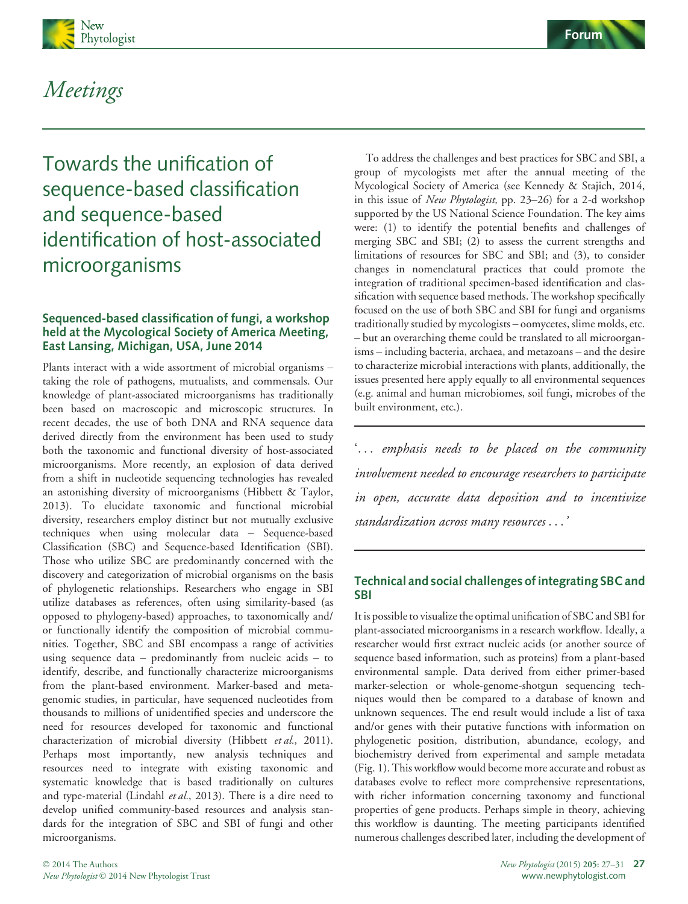



# Meetings

# Towards the unification of sequence-based classification and sequence-based identification of host-associated microorganisms

#### Sequenced-based classification of fungi, a workshop held at the Mycological Society of America Meeting, East Lansing, Michigan, USA, June 2014

Plants interact with a wide assortment of microbial organisms – taking the role of pathogens, mutualists, and commensals. Our knowledge of plant-associated microorganisms has traditionally been based on macroscopic and microscopic structures. In recent decades, the use of both DNA and RNA sequence data derived directly from the environment has been used to study both the taxonomic and functional diversity of host-associated microorganisms. More recently, an explosion of data derived from a shift in nucleotide sequencing technologies has revealed an astonishing diversity of microorganisms (Hibbett & Taylor, 2013). To elucidate taxonomic and functional microbial diversity, researchers employ distinct but not mutually exclusive techniques when using molecular data – Sequence-based Classification (SBC) and Sequence-based Identification (SBI). Those who utilize SBC are predominantly concerned with the discovery and categorization of microbial organisms on the basis of phylogenetic relationships. Researchers who engage in SBI utilize databases as references, often using similarity-based (as opposed to phylogeny-based) approaches, to taxonomically and/ or functionally identify the composition of microbial communities. Together, SBC and SBI encompass a range of activities using sequence data – predominantly from nucleic acids – to identify, describe, and functionally characterize microorganisms from the plant-based environment. Marker-based and metagenomic studies, in particular, have sequenced nucleotides from thousands to millions of unidentified species and underscore the need for resources developed for taxonomic and functional characterization of microbial diversity (Hibbett et al., 2011). Perhaps most importantly, new analysis techniques and resources need to integrate with existing taxonomic and systematic knowledge that is based traditionally on cultures and type-material (Lindahl et al., 2013). There is a dire need to develop unified community-based resources and analysis standards for the integration of SBC and SBI of fungi and other microorganisms.

To address the challenges and best practices for SBC and SBI, a group of mycologists met after the annual meeting of the Mycological Society of America (see Kennedy & Stajich, 2014, in this issue of New Phytologist, pp. 23–26) for a 2-d workshop supported by the US National Science Foundation. The key aims were: (1) to identify the potential benefits and challenges of merging SBC and SBI; (2) to assess the current strengths and limitations of resources for SBC and SBI; and (3), to consider changes in nomenclatural practices that could promote the integration of traditional specimen-based identification and classification with sequence based methods. The workshop specifically focused on the use of both SBC and SBI for fungi and organisms traditionally studied by mycologists – oomycetes, slime molds, etc. – but an overarching theme could be translated to all microorganisms – including bacteria, archaea, and metazoans – and the desire to characterize microbial interactions with plants, additionally, the issues presented here apply equally to all environmental sequences (e.g. animal and human microbiomes, soil fungi, microbes of the built environment, etc.).

'... emphasis needs to be placed on the community involvement needed to encourage researchers to participate in open, accurate data deposition and to incentivize standardization across many resources ...'

### Technical and social challenges of integrating SBC and SBI

It is possible to visualize the optimal unification of SBC and SBI for plant-associated microorganisms in a research workflow. Ideally, a researcher would first extract nucleic acids (or another source of sequence based information, such as proteins) from a plant-based environmental sample. Data derived from either primer-based marker-selection or whole-genome-shotgun sequencing techniques would then be compared to a database of known and unknown sequences. The end result would include a list of taxa and/or genes with their putative functions with information on phylogenetic position, distribution, abundance, ecology, and biochemistry derived from experimental and sample metadata (Fig. 1). This workflow would become more accurate and robust as databases evolve to reflect more comprehensive representations, with richer information concerning taxonomy and functional properties of gene products. Perhaps simple in theory, achieving this workflow is daunting. The meeting participants identified numerous challenges described later, including the development of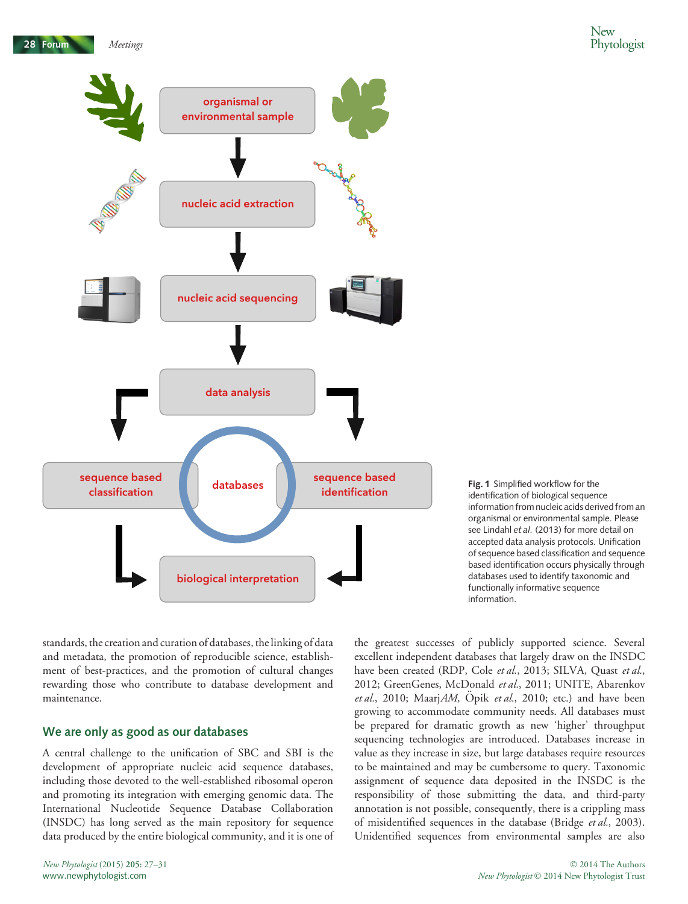

Fig. 1 Simplified workflow for the identification of biological sequence information from nucleic acids derived from an organismal or environmental sample. Please see Lindahl et al. (2013) for more detail on accepted data analysis protocols. Unification of sequence based classification and sequence based identification occurs physically through databases used to identify taxonomic and functionally informative sequence information.

standards, the creation and curation of databases, the linking of data and metadata, the promotion of reproducible science, establishment of best-practices, and the promotion of cultural changes rewarding those who contribute to database development and maintenance.

#### We are only as good as our databases

A central challenge to the unification of SBC and SBI is the development of appropriate nucleic acid sequence databases, including those devoted to the well-established ribosomal operon and promoting its integration with emerging genomic data. The International Nucleotide Sequence Database Collaboration (INSDC) has long served as the main repository for sequence data produced by the entire biological community, and it is one of

the greatest successes of publicly supported science. Several excellent independent databases that largely draw on the INSDC have been created (RDP, Cole et al., 2013; SILVA, Quast et al., 2012; GreenGenes, McDonald et al., 2011; UNITE, Abarenkov et al., 2010; Maarj $AM$ , Opik et al., 2010; etc.) and have been growing to accommodate community needs. All databases must be prepared for dramatic growth as new 'higher' throughput sequencing technologies are introduced. Databases increase in value as they increase in size, but large databases require resources to be maintained and may be cumbersome to query. Taxonomic assignment of sequence data deposited in the INSDC is the responsibility of those submitting the data, and third-party annotation is not possible, consequently, there is a crippling mass of misidentified sequences in the database (Bridge et al., 2003). Unidentified sequences from environmental samples are also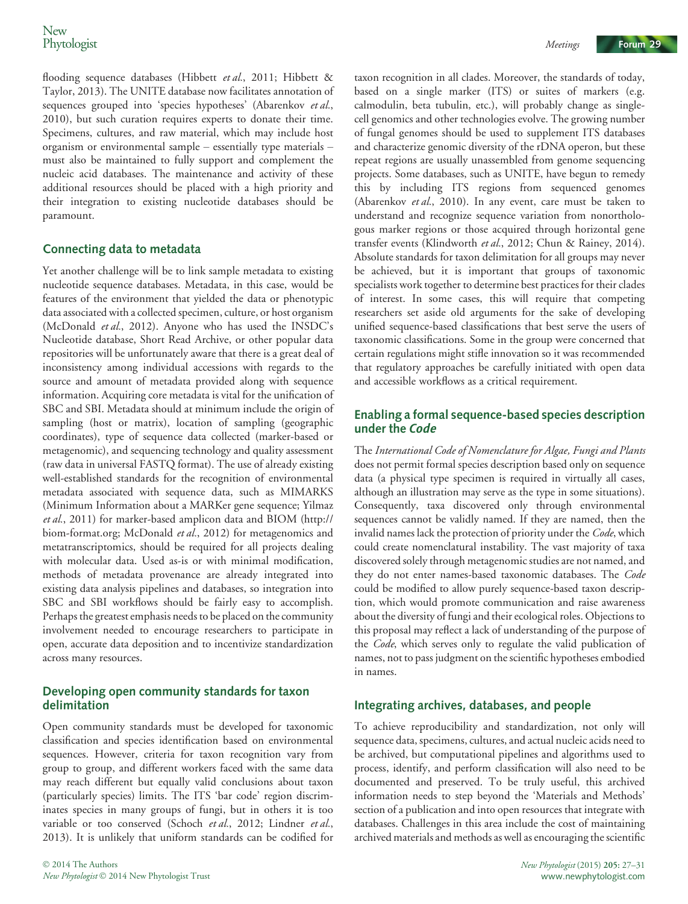flooding sequence databases (Hibbett et al., 2011; Hibbett & Taylor, 2013). The UNITE database now facilitates annotation of sequences grouped into 'species hypotheses' (Abarenkov et al., 2010), but such curation requires experts to donate their time. Specimens, cultures, and raw material, which may include host organism or environmental sample – essentially type materials – must also be maintained to fully support and complement the nucleic acid databases. The maintenance and activity of these additional resources should be placed with a high priority and their integration to existing nucleotide databases should be paramount.

### Connecting data to metadata

Yet another challenge will be to link sample metadata to existing nucleotide sequence databases. Metadata, in this case, would be features of the environment that yielded the data or phenotypic data associated with a collected specimen, culture, or host organism (McDonald et al., 2012). Anyone who has used the INSDC's Nucleotide database, Short Read Archive, or other popular data repositories will be unfortunately aware that there is a great deal of inconsistency among individual accessions with regards to the source and amount of metadata provided along with sequence information. Acquiring core metadata is vital for the unification of SBC and SBI. Metadata should at minimum include the origin of sampling (host or matrix), location of sampling (geographic coordinates), type of sequence data collected (marker-based or metagenomic), and sequencing technology and quality assessment (raw data in universal FASTQ format). The use of already existing well-established standards for the recognition of environmental metadata associated with sequence data, such as MIMARKS (Minimum Information about a MARKer gene sequence; Yilmaz et al., 2011) for marker-based amplicon data and BIOM (http:// biom-format.org; McDonald et al., 2012) for metagenomics and metatranscriptomics, should be required for all projects dealing with molecular data. Used as-is or with minimal modification, methods of metadata provenance are already integrated into existing data analysis pipelines and databases, so integration into SBC and SBI workflows should be fairly easy to accomplish. Perhaps the greatest emphasis needs to be placed on the community involvement needed to encourage researchers to participate in open, accurate data deposition and to incentivize standardization across many resources.

#### Developing open community standards for taxon delimitation

Open community standards must be developed for taxonomic classification and species identification based on environmental sequences. However, criteria for taxon recognition vary from group to group, and different workers faced with the same data may reach different but equally valid conclusions about taxon (particularly species) limits. The ITS 'bar code' region discriminates species in many groups of fungi, but in others it is too variable or too conserved (Schoch et al., 2012; Lindner et al., 2013). It is unlikely that uniform standards can be codified for

taxon recognition in all clades. Moreover, the standards of today, based on a single marker (ITS) or suites of markers (e.g. calmodulin, beta tubulin, etc.), will probably change as singlecell genomics and other technologies evolve. The growing number of fungal genomes should be used to supplement ITS databases and characterize genomic diversity of the rDNA operon, but these repeat regions are usually unassembled from genome sequencing projects. Some databases, such as UNITE, have begun to remedy this by including ITS regions from sequenced genomes (Abarenkov et al., 2010). In any event, care must be taken to understand and recognize sequence variation from nonorthologous marker regions or those acquired through horizontal gene transfer events (Klindworth et al., 2012; Chun & Rainey, 2014). Absolute standards for taxon delimitation for all groups may never be achieved, but it is important that groups of taxonomic specialists work together to determine best practices for their clades of interest. In some cases, this will require that competing researchers set aside old arguments for the sake of developing unified sequence-based classifications that best serve the users of taxonomic classifications. Some in the group were concerned that certain regulations might stifle innovation so it was recommended that regulatory approaches be carefully initiated with open data and accessible workflows as a critical requirement.

#### Enabling a formal sequence-based species description under the Code

The International Code of Nomenclature for Algae, Fungi and Plants does not permit formal species description based only on sequence data (a physical type specimen is required in virtually all cases, although an illustration may serve as the type in some situations). Consequently, taxa discovered only through environmental sequences cannot be validly named. If they are named, then the invalid names lack the protection of priority under the Code, which could create nomenclatural instability. The vast majority of taxa discovered solely through metagenomic studies are not named, and they do not enter names-based taxonomic databases. The Code could be modified to allow purely sequence-based taxon description, which would promote communication and raise awareness about the diversity of fungi and their ecological roles. Objections to this proposal may reflect a lack of understanding of the purpose of the Code, which serves only to regulate the valid publication of names, not to pass judgment on the scientific hypotheses embodied in names.

#### Integrating archives, databases, and people

To achieve reproducibility and standardization, not only will sequence data, specimens, cultures, and actual nucleic acids need to be archived, but computational pipelines and algorithms used to process, identify, and perform classification will also need to be documented and preserved. To be truly useful, this archived information needs to step beyond the 'Materials and Methods' section of a publication and into open resources that integrate with databases. Challenges in this area include the cost of maintaining archived materials and methods as well as encouraging the scientific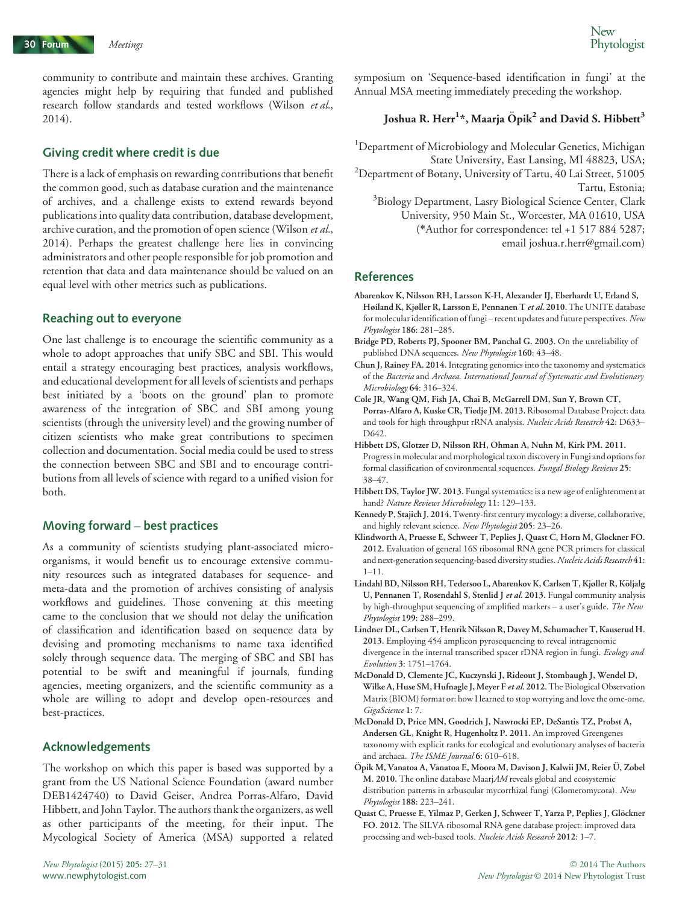community to contribute and maintain these archives. Granting agencies might help by requiring that funded and published research follow standards and tested workflows (Wilson et al., 2014).

#### Giving credit where credit is due

There is a lack of emphasis on rewarding contributions that benefit the common good, such as database curation and the maintenance of archives, and a challenge exists to extend rewards beyond publications into quality data contribution, database development, archive curation, and the promotion of open science (Wilson et al., 2014). Perhaps the greatest challenge here lies in convincing administrators and other people responsible for job promotion and retention that data and data maintenance should be valued on an equal level with other metrics such as publications.

#### Reaching out to everyone

One last challenge is to encourage the scientific community as a whole to adopt approaches that unify SBC and SBI. This would entail a strategy encouraging best practices, analysis workflows, and educational development for all levels of scientists and perhaps best initiated by a 'boots on the ground' plan to promote awareness of the integration of SBC and SBI among young scientists (through the university level) and the growing number of citizen scientists who make great contributions to specimen collection and documentation. Social media could be used to stress the connection between SBC and SBI and to encourage contributions from all levels of science with regard to a unified vision for both.

#### Moving forward – best practices

As a community of scientists studying plant-associated microorganisms, it would benefit us to encourage extensive community resources such as integrated databases for sequence- and meta-data and the promotion of archives consisting of analysis workflows and guidelines. Those convening at this meeting came to the conclusion that we should not delay the unification of classification and identification based on sequence data by devising and promoting mechanisms to name taxa identified solely through sequence data. The merging of SBC and SBI has potential to be swift and meaningful if journals, funding agencies, meeting organizers, and the scientific community as a whole are willing to adopt and develop open-resources and best-practices.

#### Acknowledgements

The workshop on which this paper is based was supported by a grant from the US National Science Foundation (award number DEB1424740) to David Geiser, Andrea Porras-Alfaro, David Hibbett, and John Taylor. The authors thank the organizers, as well as other participants of the meeting, for their input. The Mycological Society of America (MSA) supported a related

symposium on 'Sequence-based identification in fungi' at the Annual MSA meeting immediately preceding the workshop.

# Joshua R. Herr $^{1\ast}$ , Maarja  $\ddot{\rm O}$ pik $^{2}$  and David S. Hibbett $^{3}$

<sup>1</sup>Department of Microbiology and Molecular Genetics, Michigan State University, East Lansing, MI 48823, USA; <sup>2</sup> Department of Botany, University of Tartu, 40 Lai Street, 51005 Tartu, Estonia; <sup>3</sup>Biology Department, Lasry Biological Science Center, Clark University, 950 Main St., Worcester, MA 01610, USA (\*Author for correspondence: tel +1 517 884 5287; email joshua.r.herr@gmail.com)

References

- Abarenkov K, Nilsson RH, Larsson K-H, Alexander IJ, Eberhardt U, Erland S, Høiland K, Kjøller R, Larsson E, Pennanen T et al. 2010. The UNITE database for molecular identification of fungi-recent updates and future perspectives. New Phytologist 186: 281–285.
- Bridge PD, Roberts PJ, Spooner BM, Panchal G. 2003. On the unreliability of published DNA sequences. New Phytologist 160: 43–48.
- Chun J, Rainey FA. 2014. Integrating genomics into the taxonomy and systematics of the Bacteria and Archaea. International Journal of Systematic and Evolutionary Microbiology 64: 316–324.
- Cole JR, Wang QM, Fish JA, Chai B, McGarrell DM, Sun Y, Brown CT, Porras-Alfaro A, Kuske CR, Tiedje JM. 2013. Ribosomal Database Project: data and tools for high throughput rRNA analysis. Nucleic Acids Research 42: D633– D642.
- Hibbett DS, Glotzer D, Nilsson RH, Ohman A, Nuhn M, Kirk PM. 2011. Progress in molecular and morphological taxon discovery in Fungi and optionsfor formal classification of environmental sequences. Fungal Biology Reviews 25: 38–47.
- Hibbett DS, Taylor JW. 2013. Fungal systematics: is a new age of enlightenment at hand? Nature Reviews Microbiology 11: 129-133.
- Kennedy P, Stajich J. 2014.Twenty-first century mycology: a diverse, collaborative, and highly relevant science. New Phytologist 205: 23–26.
- Klindworth A, Pruesse E, Schweer T, Peplies J, Quast C, Horn M, Glockner FO. 2012. Evaluation of general 16S ribosomal RNA gene PCR primers for classical and next-generation sequencing-based diversity studies. Nucleic Acids Research 41: 1–11.
- Lindahl BD, Nilsson RH, Tedersoo L, Abarenkov K, Carlsen T, Kjøller R, Kõljalg U, Pennanen T, Rosendahl S, Stenlid J et al. 2013. Fungal community analysis by high-throughput sequencing of amplified markers – a user's guide. The New Phytologist 199: 288–299.
- Lindner DL, Carlsen T, Henrik Nilsson R, Davey M, Schumacher T, Kauserud H. 2013. Employing 454 amplicon pyrosequencing to reveal intragenomic divergence in the internal transcribed spacer rDNA region in fungi. Ecology and Evolution 3: 1751–1764.
- McDonald D, Clemente JC, Kuczynski J, Rideout J, Stombaugh J, Wendel D, Wilke A, Huse SM, Hufnagle J, Meyer F et al. 2012. The Biological Observation Matrix (BIOM) format or: how I learned to stop worrying and love the ome-ome. GigaScience 1: 7.
- McDonald D, Price MN, Goodrich J, Nawrocki EP, DeSantis TZ, Probst A, Andersen GL, Knight R, Hugenholtz P. 2011. An improved Greengenes taxonomy with explicit ranks for ecological and evolutionary analyses of bacteria and archaea. The ISME Journal 6: 610–618.
- Öpik M, Vanatoa A, Vanatoa E, Moora M, Davison J, Kalwii JM, Reier Ü, Zobel M. 2010. The online database MaarjAM reveals global and ecosystemic distribution patterns in arbuscular mycorrhizal fungi (Glomeromycota). New Phytologist 188: 223–241.
- Quast C, Pruesse E, Yilmaz P, Gerken J, Schweer T, Yarza P, Peplies J, Glöckner FO. 2012. The SILVA ribosomal RNA gene database project: improved data processing and web-based tools. Nucleic Acids Research 2012: 1–7.